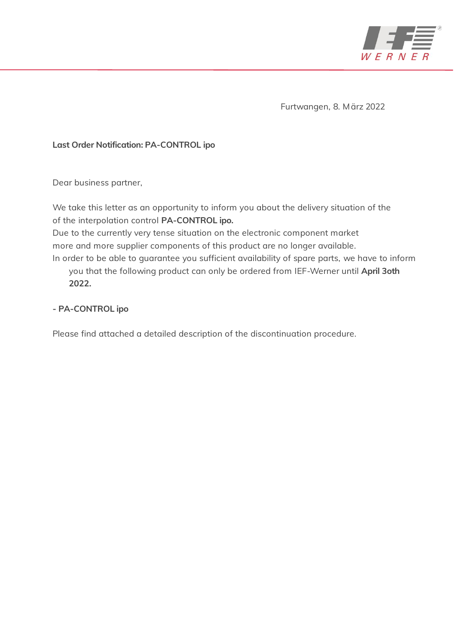

Furtwangen, 8. März 2022

## Last Order Notification: PA-CONTROL ipo

Dear business partner,

We take this letter as an opportunity to inform you about the delivery situation of the of the interpolation control PA-CONTROL ipo.

Due to the currently very tense situation on the electronic component market more and more supplier components of this product are no longer available.

In order to be able to guarantee you sufficient availability of spare parts, we have to inform you that the following product can only be ordered from IEF-Werner until April 3oth 2022.

# - PA-CONTROL ipo

Please find attached a detailed description of the discontinuation procedure.